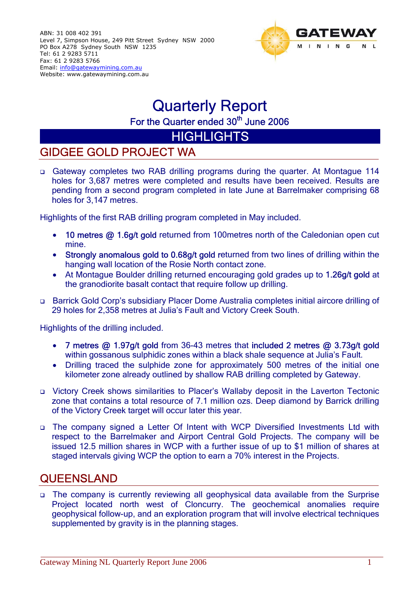

# Quarterly Report

For the Quarter ended 30<sup>th</sup> June 2006

## **HIGHLIGHTS**

## GIDGEE GOLD PROJECT WA

 Gateway completes two RAB drilling programs during the quarter. At Montague 114 holes for 3,687 metres were completed and results have been received. Results are pending from a second program completed in late June at Barrelmaker comprising 68 holes for 3,147 metres.

Highlights of the first RAB drilling program completed in May included.

- 10 metres @ 1.6g/t gold returned from 100 metres north of the Caledonian open cut mine.
- Strongly anomalous gold to 0.68g/t gold returned from two lines of drilling within the hanging wall location of the Rosie North contact zone.
- At Montague Boulder drilling returned encouraging gold grades up to 1.26g/t gold at the granodiorite basalt contact that require follow up drilling.
- Barrick Gold Corp's subsidiary Placer Dome Australia completes initial aircore drilling of 29 holes for 2,358 metres at Julia's Fault and Victory Creek South.

Highlights of the drilling included.

- 7 metres @ 1.97g/t gold from 36-43 metres that included 2 metres @ 3.73g/t gold within gossanous sulphidic zones within a black shale sequence at Julia's Fault.
- Drilling traced the sulphide zone for approximately 500 metres of the initial one kilometer zone already outlined by shallow RAB drilling completed by Gateway.
- Victory Creek shows similarities to Placer's Wallaby deposit in the Laverton Tectonic zone that contains a total resource of 7.1 million ozs. Deep diamond by Barrick drilling of the Victory Creek target will occur later this year.
- The company signed a Letter Of Intent with WCP Diversified Investments Ltd with respect to the Barrelmaker and Airport Central Gold Projects. The company will be issued 12.5 million shares in WCP with a further issue of up to \$1 million of shares at staged intervals giving WCP the option to earn a 70% interest in the Projects.

## QUEENSLAND

 The company is currently reviewing all geophysical data available from the Surprise Project located north west of Cloncurry. The geochemical anomalies require geophysical follow-up, and an exploration program that will involve electrical techniques supplemented by gravity is in the planning stages.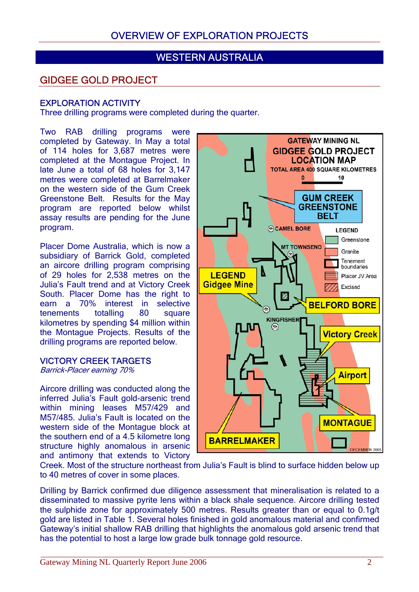## GIDGEE GOLD PROJECT

#### EXPLORATION ACTIVITY

Three drilling programs were completed during the quarter.

Two RAB drilling programs were completed by Gateway. In May a total of 114 holes for 3,687 metres were completed at the Montague Project. In late June a total of 68 holes for 3,147 metres were completed at Barrelmaker on the western side of the Gum Creek Greenstone Belt. Results for the May program are reported below whilst assay results are pending for the June program.

Placer Dome Australia, which is now a subsidiary of Barrick Gold, completed an aircore drilling program comprising of 29 holes for 2,538 metres on the Julia's Fault trend and at Victory Creek South. Placer Dome has the right to earn a 70% interest in selective tenements totalling 80 square kilometres by spending \$4 million within the Montague Projects. Results of the drilling programs are reported below.

#### VICTORY CREEK TARGETS

Barrick-Placer earning 70%

Aircore drilling was conducted along the inferred Julia's Fault gold-arsenic trend within mining leases M57/429 and M57/485. Julia's Fault is located on the western side of the Montague block at the southern end of a 4.5 kilometre long structure highly anomalous in arsenic and antimony that extends to Victory



Creek. Most of the structure northeast from Julia's Fault is blind to surface hidden below up to 40 metres of cover in some places.

Drilling by Barrick confirmed due diligence assessment that mineralisation is related to a disseminated to massive pyrite lens within a black shale sequence. Aircore drilling tested the sulphide zone for approximately 500 metres. Results greater than or equal to 0.1g/t gold are listed in Table 1. Several holes finished in gold anomalous material and confirmed Gateway's initial shallow RAB drilling that highlights the anomalous gold arsenic trend that has the potential to host a large low grade bulk tonnage gold resource.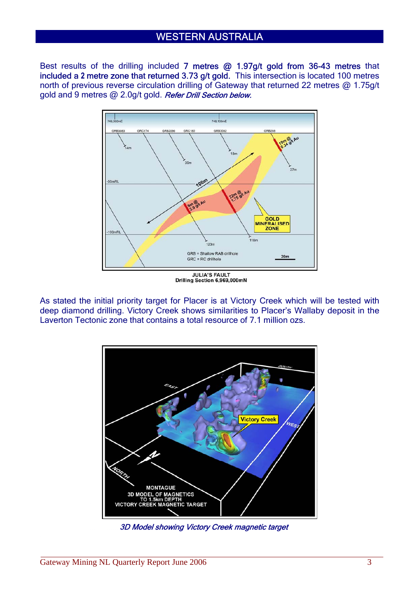Best results of the drilling included 7 metres @ 1.97g/t gold from 36-43 metres that included a **2** metre zone that returned 3.73 g/t gold. This intersection is located 100 metres north of previous reverse circulation drilling of Gateway that returned 22 metres @ 1.75g/t gold and 9 metres @ 2.0g/t gold. Refer Drill Section below.



Drilling Section 6,969,000mN

As stated the initial priority target for Placer is at Victory Creek which will be tested with deep diamond drilling. Victory Creek shows similarities to Placer's Wallaby deposit in the Laverton Tectonic zone that contains a total resource of 7.1 million ozs.



3D Model showing Victory Creek magnetic target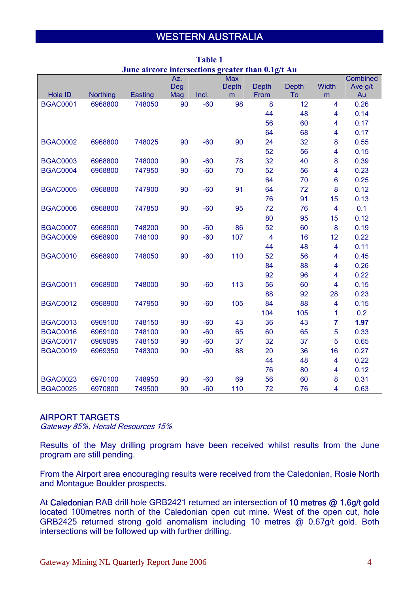|                 |          | $\sigma$ and $\sigma$ and $\sigma$ and $\sigma$ and $\sigma$ and $\sigma$ and $\sigma$ and $\sigma$ and $\sigma$ and $\sigma$ | Az.        |       | <b>Max</b>   |                         | $\mathbf{u}$ is the contract of $\mathbf{u}$ |                         | Combined |
|-----------------|----------|-------------------------------------------------------------------------------------------------------------------------------|------------|-------|--------------|-------------------------|----------------------------------------------|-------------------------|----------|
|                 |          |                                                                                                                               | <b>Deg</b> |       | <b>Depth</b> | <b>Depth</b>            | <b>Depth</b>                                 | Width                   | Ave g/t  |
| Hole ID         | Northing | Easting                                                                                                                       | Mag        | Incl. | m            | From                    | To                                           | m                       | Au       |
| <b>BGAC0001</b> | 6968800  | 748050                                                                                                                        | 90         | $-60$ | 98           | 8                       | 12                                           | $\overline{4}$          | 0.26     |
|                 |          |                                                                                                                               |            |       |              | 44                      | 48                                           | 4                       | 0.14     |
|                 |          |                                                                                                                               |            |       |              | 56                      | 60                                           | $\overline{\mathbf{4}}$ | 0.17     |
|                 |          |                                                                                                                               |            |       |              | 64                      | 68                                           | $\overline{4}$          | 0.17     |
| <b>BGAC0002</b> | 6968800  | 748025                                                                                                                        | 90         | $-60$ | 90           | 24                      | 32                                           | 8                       | 0.55     |
|                 |          |                                                                                                                               |            |       |              | 52                      | 56                                           | $\overline{4}$          | 0.15     |
| <b>BGAC0003</b> | 6968800  | 748000                                                                                                                        | 90         | $-60$ | 78           | 32                      | 40                                           | 8                       | 0.39     |
| <b>BGAC0004</b> | 6968800  | 747950                                                                                                                        | 90         | $-60$ | 70           | 52                      | 56                                           | $\overline{4}$          | 0.23     |
|                 |          |                                                                                                                               |            |       |              | 64                      | 70                                           | $6\phantom{1}6$         | 0.25     |
| <b>BGAC0005</b> | 6968800  | 747900                                                                                                                        | 90         | $-60$ | 91           | 64                      | 72                                           | 8                       | 0.12     |
|                 |          |                                                                                                                               |            |       |              | 76                      | 91                                           | 15                      | 0.13     |
| <b>BGAC0006</b> | 6968800  | 747850                                                                                                                        | 90         | $-60$ | 95           | 72                      | 76                                           | $\overline{4}$          | 0.1      |
|                 |          |                                                                                                                               |            |       |              | 80                      | 95                                           | 15                      | 0.12     |
| <b>BGAC0007</b> | 6968900  | 748200                                                                                                                        | 90         | $-60$ | 86           | 52                      | 60                                           | 8                       | 0.19     |
| <b>BGAC0009</b> | 6968900  | 748100                                                                                                                        | 90         | $-60$ | 107          | $\overline{\mathbf{4}}$ | 16                                           | 12                      | 0.22     |
|                 |          |                                                                                                                               |            |       |              | 44                      | 48                                           | $\overline{4}$          | 0.11     |
| <b>BGAC0010</b> | 6968900  | 748050                                                                                                                        | 90         | $-60$ | 110          | 52                      | 56                                           | $\overline{\mathbf{4}}$ | 0.45     |
|                 |          |                                                                                                                               |            |       |              | 84                      | 88                                           | $\overline{\mathbf{4}}$ | 0.26     |
|                 |          |                                                                                                                               |            |       |              | 92                      | 96                                           | $\overline{4}$          | 0.22     |
| <b>BGAC0011</b> | 6968900  | 748000                                                                                                                        | 90         | $-60$ | 113          | 56                      | 60                                           | $\overline{4}$          | 0.15     |
|                 |          |                                                                                                                               |            |       |              | 88                      | 92                                           | 28                      | 0.23     |
| <b>BGAC0012</b> | 6968900  | 747950                                                                                                                        | 90         | $-60$ | 105          | 84                      | 88                                           | $\overline{4}$          | 0.15     |
|                 |          |                                                                                                                               |            |       |              | 104                     | 105                                          | 1                       | 0.2      |
| <b>BGAC0013</b> | 6969100  | 748150                                                                                                                        | 90         | $-60$ | 43           | 36                      | 43                                           | $\overline{7}$          | 1.97     |
| <b>BGAC0016</b> | 6969100  | 748100                                                                                                                        | 90         | $-60$ | 65           | 60                      | 65                                           | 5                       | 0.33     |
| <b>BGAC0017</b> | 6969095  | 748150                                                                                                                        | 90         | $-60$ | 37           | 32                      | 37                                           | 5                       | 0.65     |
| <b>BGAC0019</b> | 6969350  | 748300                                                                                                                        | 90         | $-60$ | 88           | 20                      | 36                                           | 16                      | 0.27     |
|                 |          |                                                                                                                               |            |       |              | 44                      | 48                                           | $\overline{4}$          | 0.22     |
|                 |          |                                                                                                                               |            |       |              | 76                      | 80                                           | $\overline{4}$          | 0.12     |
| <b>BGAC0023</b> | 6970100  | 748950                                                                                                                        | 90         | $-60$ | 69           | 56                      | 60                                           | 8                       | 0.31     |
| <b>BGAC0025</b> | 6970800  | 749500                                                                                                                        | 90         | $-60$ | 110          | 72                      | 76                                           | $\overline{4}$          | 0.63     |

**Table 1 June aircore intersections greater than 0.1g/t Au** 

#### AIRPORT TARGETS

Gateway 85%, Herald Resources 15%

Results of the May drilling program have been received whilst results from the June program are still pending.

From the Airport area encouraging results were received from the Caledonian, Rosie North and Montague Boulder prospects.

At Caledonian RAB drill hole GRB2421 returned an intersection of 10 metres @ 1.6g/t gold located 100metres north of the Caledonian open cut mine. West of the open cut, hole GRB2425 returned strong gold anomalism including 10 metres @ 0.67g/t gold. Both intersections will be followed up with further drilling.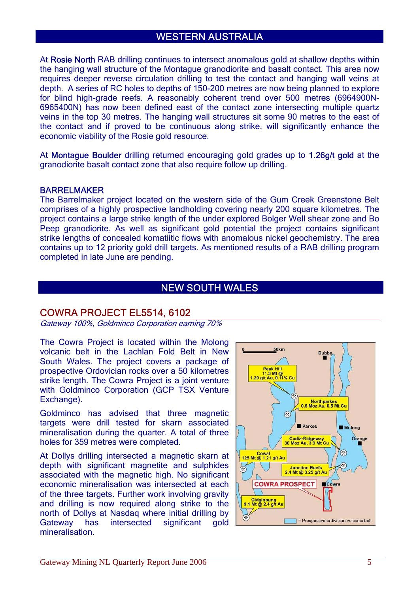At Rosie North RAB drilling continues to intersect anomalous gold at shallow depths within the hanging wall structure of the Montague granodiorite and basalt contact. This area now requires deeper reverse circulation drilling to test the contact and hanging wall veins at depth. A series of RC holes to depths of 150-200 metres are now being planned to explore for blind high-grade reefs. A reasonably coherent trend over 500 metres (6964900N-6965400N) has now been defined east of the contact zone intersecting multiple quartz veins in the top 30 metres. The hanging wall structures sit some 90 metres to the east of the contact and if proved to be continuous along strike, will significantly enhance the economic viability of the Rosie gold resource.

At Montague Boulder drilling returned encouraging gold grades up to 1.26g/t gold at the granodiorite basalt contact zone that also require follow up drilling.

#### BARRELMAKER

The Barrelmaker project located on the western side of the Gum Creek Greenstone Belt comprises of a highly prospective landholding covering nearly 200 square kilometres. The project contains a large strike length of the under explored Bolger Well shear zone and Bo Peep granodiorite. As well as significant gold potential the project contains significant strike lengths of concealed komatiitic flows with anomalous nickel geochemistry. The area contains up to 12 priority gold drill targets. As mentioned results of a RAB drilling program completed in late June are pending.

### NEW SOUTH WALES

#### COWRA PROJECT EL5514, 6102

Gateway 100%, Goldminco Corporation earning 70%

The Cowra Project is located within the Molong volcanic belt in the Lachlan Fold Belt in New South Wales. The project covers a package of prospective Ordovician rocks over a 50 kilometres strike length. The Cowra Project is a joint venture with Goldminco Corporation (GCP TSX Venture Exchange).

Goldminco has advised that three magnetic targets were drill tested for skarn associated mineralisation during the quarter. A total of three holes for 359 metres were completed.

At Dollys drilling intersected a magnetic skarn at depth with significant magnetite and sulphides associated with the magnetic high. No significant economic mineralisation was intersected at each of the three targets. Further work involving gravity and drilling is now required along strike to the north of Dollys at Nasdaq where initial drilling by Gateway has intersected significant gold mineralisation.

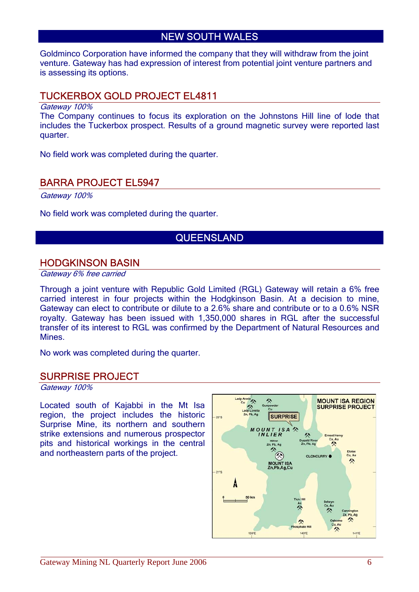## NEW SOUTH WALES

Goldminco Corporation have informed the company that they will withdraw from the joint venture. Gateway has had expression of interest from potential joint venture partners and is assessing its options.

### TUCKERBOX GOLD PROJECT EL4811

Gateway 100%

The Company continues to focus its exploration on the Johnstons Hill line of lode that includes the Tuckerbox prospect. Results of a ground magnetic survey were reported last quarter.

No field work was completed during the quarter.

#### BARRA PROJECT EL5947

Gateway 100%

No field work was completed during the quarter.

## **QUEENSLAND**

#### HODGKINSON BASIN

Gateway 6% free carried

Through a joint venture with Republic Gold Limited (RGL) Gateway will retain a 6% free carried interest in four projects within the Hodgkinson Basin. At a decision to mine, Gateway can elect to contribute or dilute to a 2.6% share and contribute or to a 0.6% NSR royalty. Gateway has been issued with 1,350,000 shares in RGL after the successful transfer of its interest to RGL was confirmed by the Department of Natural Resources and **Mines** 

No work was completed during the quarter.

#### SURPRISE PROJECT

Gateway 100%

Located south of Kajabbi in the Mt Isa region, the project includes the historic Surprise Mine, its northern and southern strike extensions and numerous prospector pits and historical workings in the central and northeastern parts of the project.

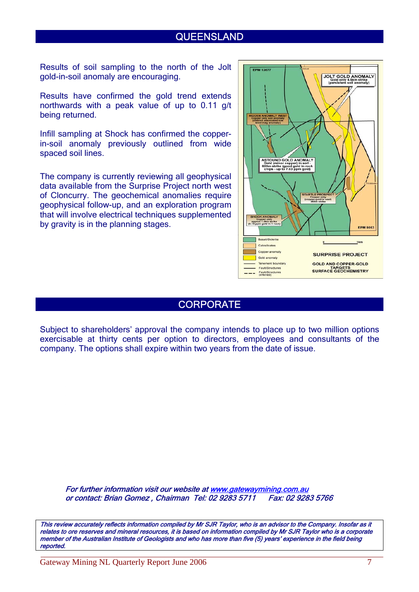### **QUEENSLAND**

Results of soil sampling to the north of the Jolt gold-in-soil anomaly are encouraging.

Results have confirmed the gold trend extends northwards with a peak value of up to 0.11 g/t being returned.

Infill sampling at Shock has confirmed the copperin-soil anomaly previously outlined from wide spaced soil lines.

The company is currently reviewing all geophysical data available from the Surprise Project north west of Cloncurry. The geochemical anomalies require geophysical follow-up, and an exploration program that will involve electrical techniques supplemented by gravity is in the planning stages.



### **CORPORATE**

Subject to shareholders' approval the company intends to place up to two million options exercisable at thirty cents per option to directors, employees and consultants of the company. The options shall expire within two years from the date of issue.

For further information visit our website at [www.gatewaymining.com.au](http://www.gatewaymining.com.au/) or contact: Brian Gomez , Chairman Tel: 02 9283 5711 Fax: 02 9283 5766

This review accurately reflects information compiled by Mr SJR Taylor, who is an advisor to the Company. Insofar as it relates to ore reserves and mineral resources, it is based on information compiled by Mr SJR Taylor who is a corporate member of the Australian Institute of Geologists and who has more than five (5) years' experience in the field being reported.